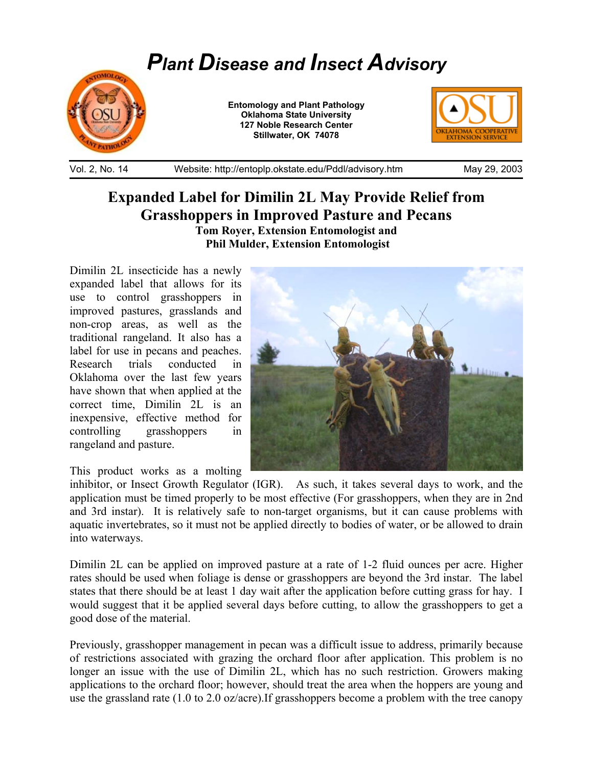## *Plant Disease and Insect Advisory*



**Entomology and Plant Pathology Oklahoma State University 127 Noble Research Center Stillwater, OK 74078** 



Vol. 2, No. 14 Website: http://entoplp.okstate.edu/Pddl/advisory.htm May 29, 2003

## **Expanded Label for Dimilin 2L May Provide Relief from Grasshoppers in Improved Pasture and Pecans**

**Tom Royer, Extension Entomologist and Phil Mulder, Extension Entomologist**

Dimilin 2L insecticide has a newly expanded label that allows for its use to control grasshoppers in improved pastures, grasslands and non-crop areas, as well as the traditional rangeland. It also has a label for use in pecans and peaches. Research trials conducted in Oklahoma over the last few years have shown that when applied at the correct time, Dimilin 2L is an inexpensive, effective method for controlling grasshoppers in rangeland and pasture.

This product works as a molting



inhibitor, or Insect Growth Regulator (IGR). As such, it takes several days to work, and the application must be timed properly to be most effective (For grasshoppers, when they are in 2nd and 3rd instar). It is relatively safe to non-target organisms, but it can cause problems with aquatic invertebrates, so it must not be applied directly to bodies of water, or be allowed to drain into waterways.

Dimilin 2L can be applied on improved pasture at a rate of 1-2 fluid ounces per acre. Higher rates should be used when foliage is dense or grasshoppers are beyond the 3rd instar. The label states that there should be at least 1 day wait after the application before cutting grass for hay. I would suggest that it be applied several days before cutting, to allow the grasshoppers to get a good dose of the material.

Previously, grasshopper management in pecan was a difficult issue to address, primarily because of restrictions associated with grazing the orchard floor after application. This problem is no longer an issue with the use of Dimilin 2L, which has no such restriction. Growers making applications to the orchard floor; however, should treat the area when the hoppers are young and use the grassland rate (1.0 to 2.0 oz/acre).If grasshoppers become a problem with the tree canopy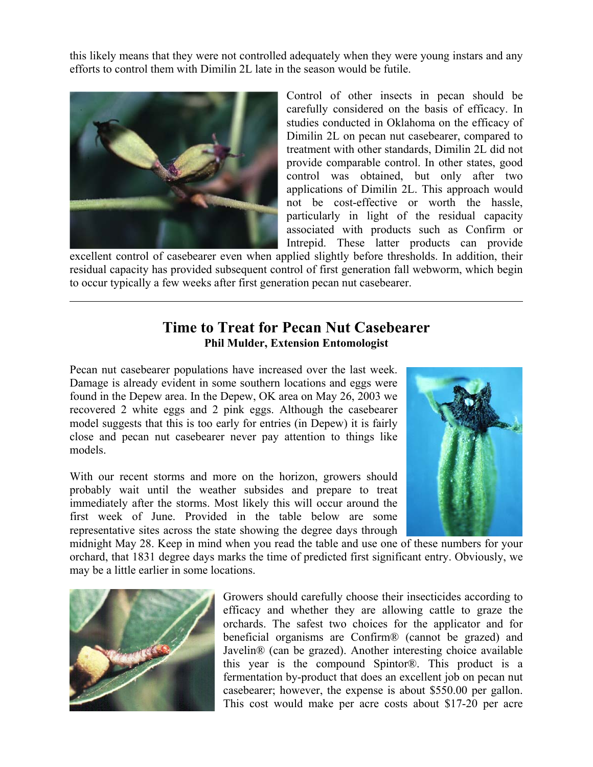this likely means that they were not controlled adequately when they were young instars and any efforts to control them with Dimilin 2L late in the season would be futile.



 $\overline{a}$ 

Control of other insects in pecan should be carefully considered on the basis of efficacy. In studies conducted in Oklahoma on the efficacy of Dimilin 2L on pecan nut casebearer, compared to treatment with other standards, Dimilin 2L did not provide comparable control. In other states, good control was obtained, but only after two applications of Dimilin 2L. This approach would not be cost-effective or worth the hassle, particularly in light of the residual capacity associated with products such as Confirm or Intrepid. These latter products can provide

excellent control of casebearer even when applied slightly before thresholds. In addition, their residual capacity has provided subsequent control of first generation fall webworm, which begin to occur typically a few weeks after first generation pecan nut casebearer.

## **Time to Treat for Pecan Nut Casebearer Phil Mulder, Extension Entomologist**

Pecan nut casebearer populations have increased over the last week. Damage is already evident in some southern locations and eggs were found in the Depew area. In the Depew, OK area on May 26, 2003 we recovered 2 white eggs and 2 pink eggs. Although the casebearer model suggests that this is too early for entries (in Depew) it is fairly close and pecan nut casebearer never pay attention to things like models.

With our recent storms and more on the horizon, growers should probably wait until the weather subsides and prepare to treat immediately after the storms. Most likely this will occur around the first week of June. Provided in the table below are some representative sites across the state showing the degree days through



midnight May 28. Keep in mind when you read the table and use one of these numbers for your orchard, that 1831 degree days marks the time of predicted first significant entry. Obviously, we may be a little earlier in some locations.



Growers should carefully choose their insecticides according to efficacy and whether they are allowing cattle to graze the orchards. The safest two choices for the applicator and for beneficial organisms are Confirm® (cannot be grazed) and Javelin® (can be grazed). Another interesting choice available this year is the compound Spintor®. This product is a fermentation by-product that does an excellent job on pecan nut casebearer; however, the expense is about \$550.00 per gallon. This cost would make per acre costs about \$17-20 per acre